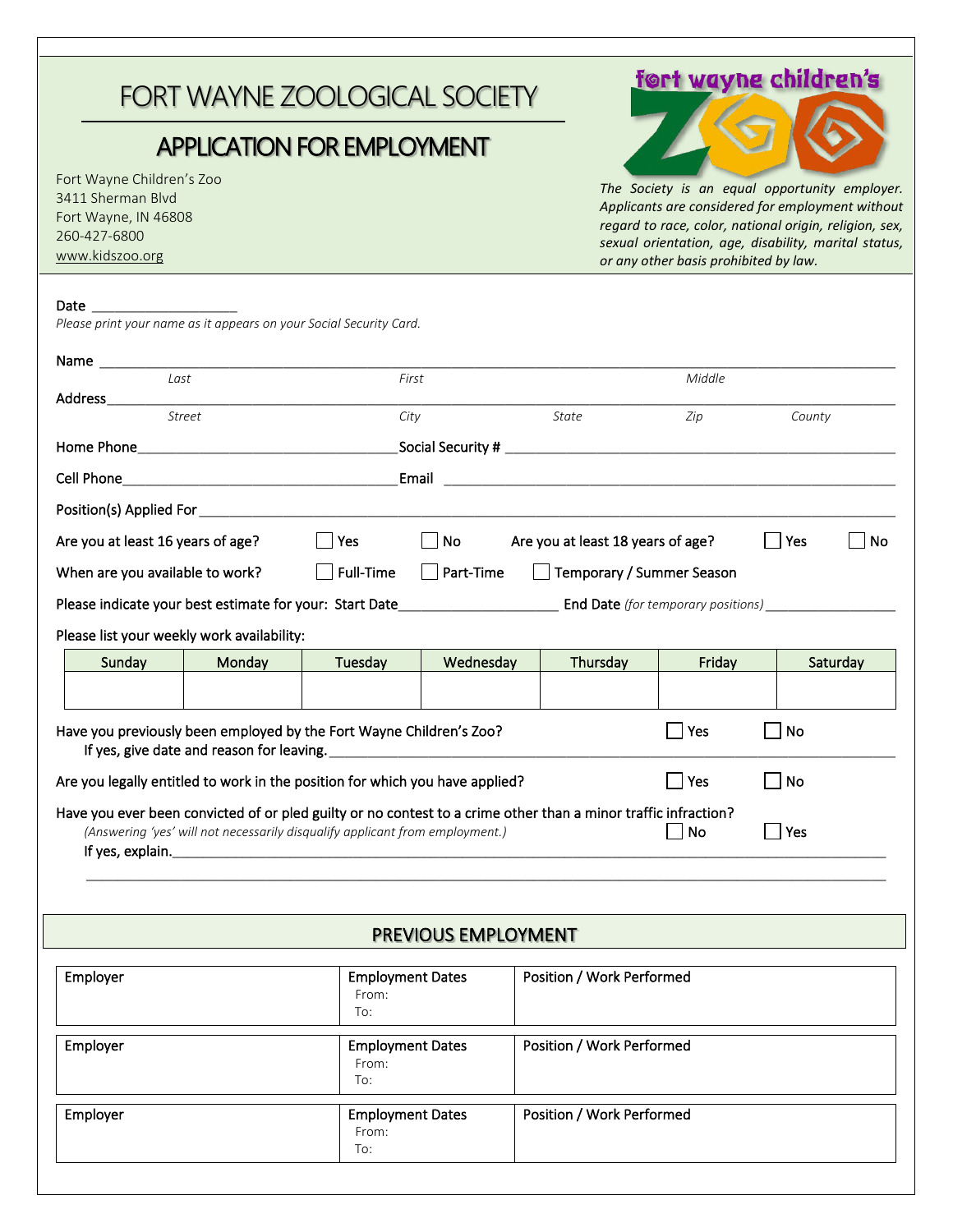# FORT WAYNE ZOOLOGICAL SOCIETY

## APPLICATION FOR EMPLOYMENT

 Fort Wayne Children's Zoo 3411 Sherman Blvd Fort Wayne, IN 46808 260-427-6800 [www.kidszoo.org](http://www.kidszoo.org/)

## fort wayne children's



*The Society is an equal opportunity employer. Applicants are considered for employment without regard to race, color, national origin, religion, sex, sexual orientation, age, disability, marital status, or any other basis prohibited by law.*

#### Date

*Please print your name as it appears on your Social Security Card.*

| Last                                                                                                                                                                                           |               | First   |           |          | Middle |          |  |
|------------------------------------------------------------------------------------------------------------------------------------------------------------------------------------------------|---------------|---------|-----------|----------|--------|----------|--|
| Address and the contract of the contract of the contract of the contract of the contract of the contract of the                                                                                |               |         |           |          |        |          |  |
|                                                                                                                                                                                                | <b>Street</b> | City    |           | State    | Zip    | County   |  |
|                                                                                                                                                                                                |               |         |           |          |        |          |  |
|                                                                                                                                                                                                |               |         |           |          |        |          |  |
|                                                                                                                                                                                                |               |         |           |          |        |          |  |
| No<br>Are you at least 16 years of age?<br>Yes<br>$\Box$<br>Are you at least 18 years of age?<br>Yes                                                                                           |               |         |           |          |        | No       |  |
| $\Box$ Full-Time<br>$\Box$ Part-Time<br>□ Temporary / Summer Season<br>When are you available to work?                                                                                         |               |         |           |          |        |          |  |
|                                                                                                                                                                                                |               |         |           |          |        |          |  |
| Please list your weekly work availability:                                                                                                                                                     |               |         |           |          |        |          |  |
| Sunday                                                                                                                                                                                         | Monday        | Tuesday | Wednesday | Thursday | Friday | Saturday |  |
|                                                                                                                                                                                                |               |         |           |          |        |          |  |
| Have you previously been employed by the Fort Wayne Children's Zoo?                                                                                                                            |               |         |           |          | Yes    | No       |  |
| Are you legally entitled to work in the position for which you have applied?                                                                                                                   |               |         |           |          | Yes    | No       |  |
|                                                                                                                                                                                                |               |         |           |          |        |          |  |
| Have you ever been convicted of or pled guilty or no contest to a crime other than a minor traffic infraction?<br>(Answering 'yes' will not necessarily disqualify applicant from employment.) |               |         |           |          | No     | Yes      |  |
|                                                                                                                                                                                                |               |         |           |          |        |          |  |
|                                                                                                                                                                                                |               |         |           |          |        |          |  |

### PREVIOUS EMPLOYMENT

| Employer | <b>Employment Dates</b><br>From:<br>To: | Position / Work Performed |
|----------|-----------------------------------------|---------------------------|
| Employer | <b>Employment Dates</b><br>From:<br>To: | Position / Work Performed |
| Employer | <b>Employment Dates</b><br>From:<br>To: | Position / Work Performed |